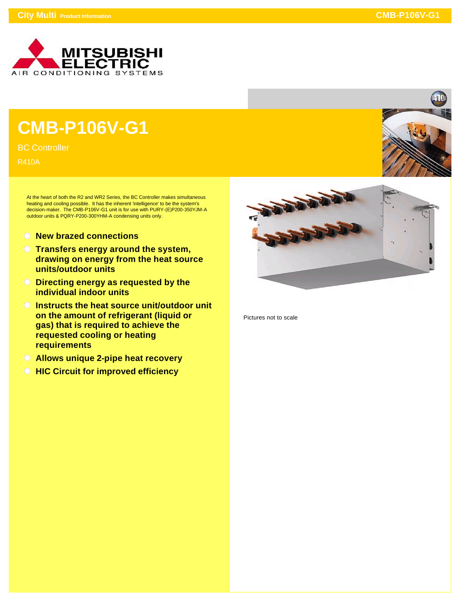

## **CMB-P106V-G1**

BC Controller

R410A

At the heart of both the R2 and WR2 Series, the BC Controller makes simultaneous heating and cooling possible. It has the inherent 'intelligence' to be the system's decision-maker. The CMB-P106V-G1 unit is for use with PURY-(E)P200-350YJM-A outdoor units & PQRY-P200-300YHM-A condensing units only.

- **New brazed connections**
- **Transfers energy around the system, drawing on energy from the heat source units/outdoor units**
- **Directing energy as requested by the individual indoor units**
- **Instructs the heat source unit/outdoor unit on the amount of refrigerant (liquid or gas) that is required to achieve the requested cooling or heating requirements**
- **Allows unique 2-pipe heat recovery**
- **All HIC Circuit for improved efficiency**



Pictures not to scale